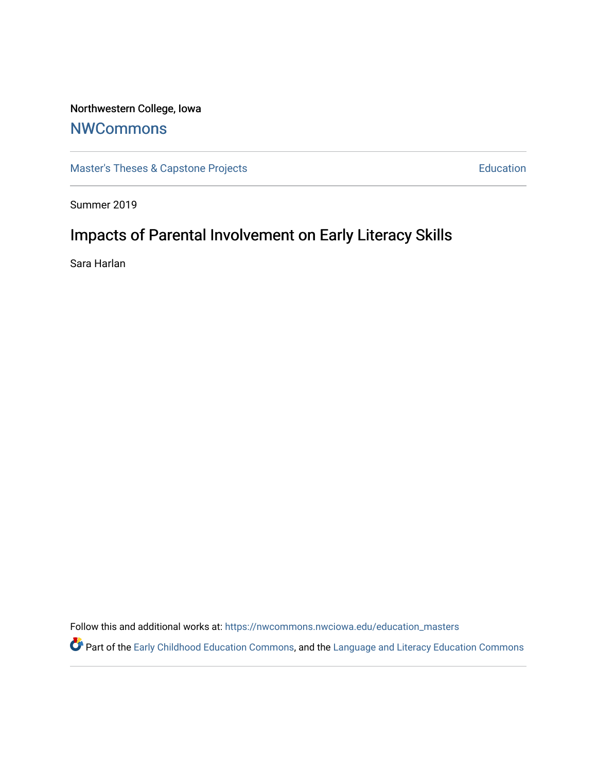# Northwestern College, Iowa

# **[NWCommons](https://nwcommons.nwciowa.edu/)**

[Master's Theses & Capstone Projects](https://nwcommons.nwciowa.edu/education_masters) **Education** Education

Summer 2019

# Impacts of Parental Involvement on Early Literacy Skills

Sara Harlan

Follow this and additional works at: [https://nwcommons.nwciowa.edu/education\\_masters](https://nwcommons.nwciowa.edu/education_masters?utm_source=nwcommons.nwciowa.edu%2Feducation_masters%2F154&utm_medium=PDF&utm_campaign=PDFCoverPages)

Part of the [Early Childhood Education Commons,](http://network.bepress.com/hgg/discipline/1377?utm_source=nwcommons.nwciowa.edu%2Feducation_masters%2F154&utm_medium=PDF&utm_campaign=PDFCoverPages) and the Language and Literacy Education Commons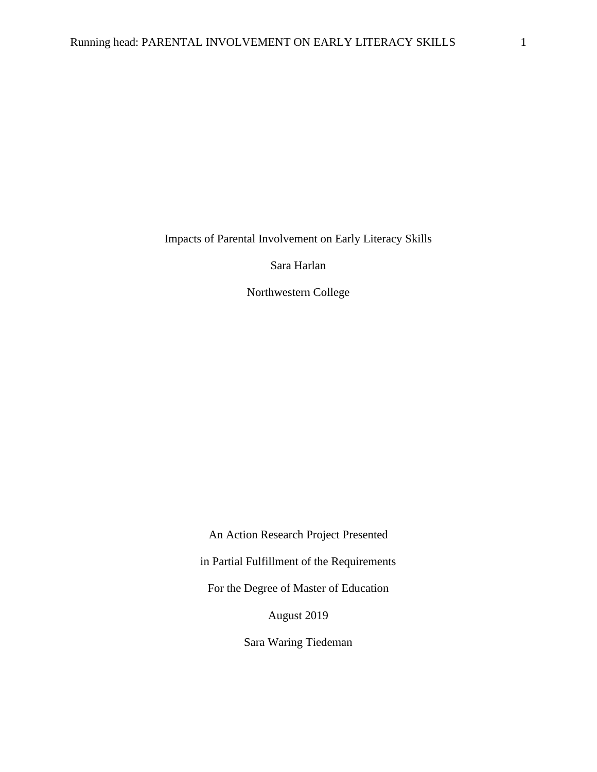Impacts of Parental Involvement on Early Literacy Skills

Sara Harlan

Northwestern College

An Action Research Project Presented

in Partial Fulfillment of the Requirements

For the Degree of Master of Education

August 2019

Sara Waring Tiedeman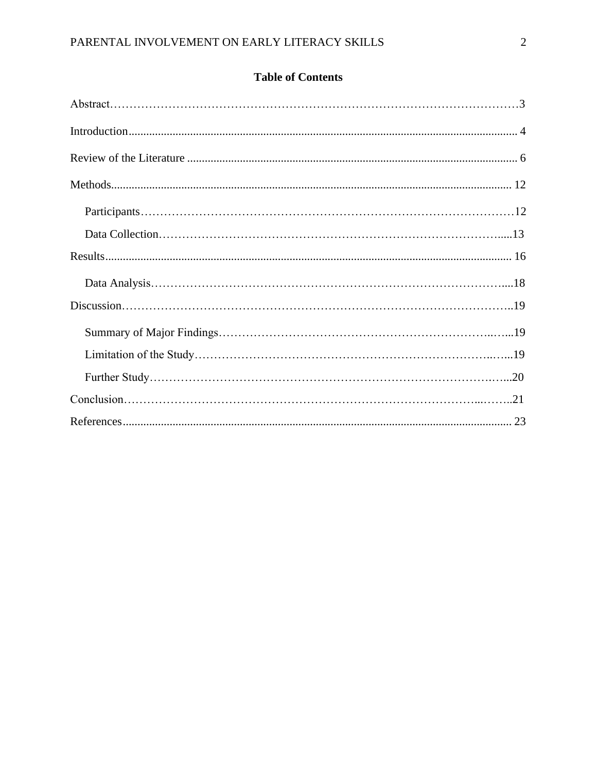| <b>Table of Contents</b> |  |
|--------------------------|--|
|--------------------------|--|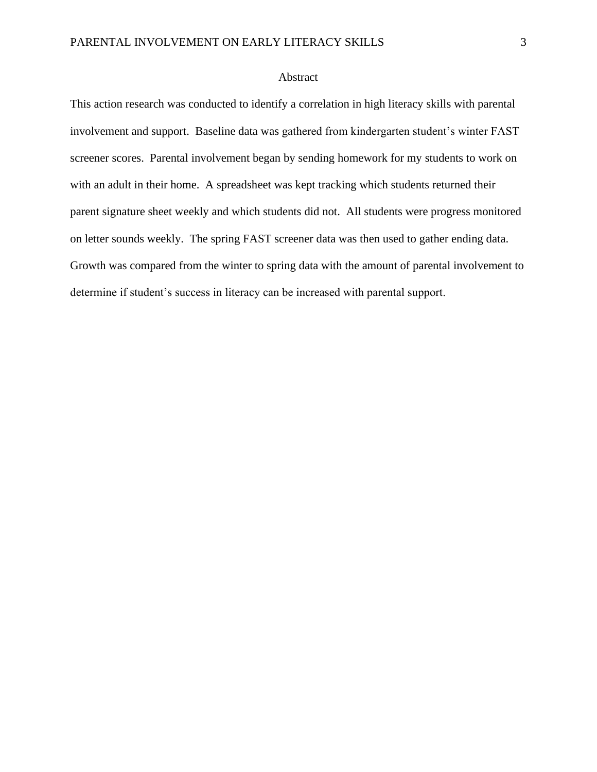# Abstract

This action research was conducted to identify a correlation in high literacy skills with parental involvement and support. Baseline data was gathered from kindergarten student's winter FAST screener scores. Parental involvement began by sending homework for my students to work on with an adult in their home. A spreadsheet was kept tracking which students returned their parent signature sheet weekly and which students did not. All students were progress monitored on letter sounds weekly. The spring FAST screener data was then used to gather ending data. Growth was compared from the winter to spring data with the amount of parental involvement to determine if student's success in literacy can be increased with parental support.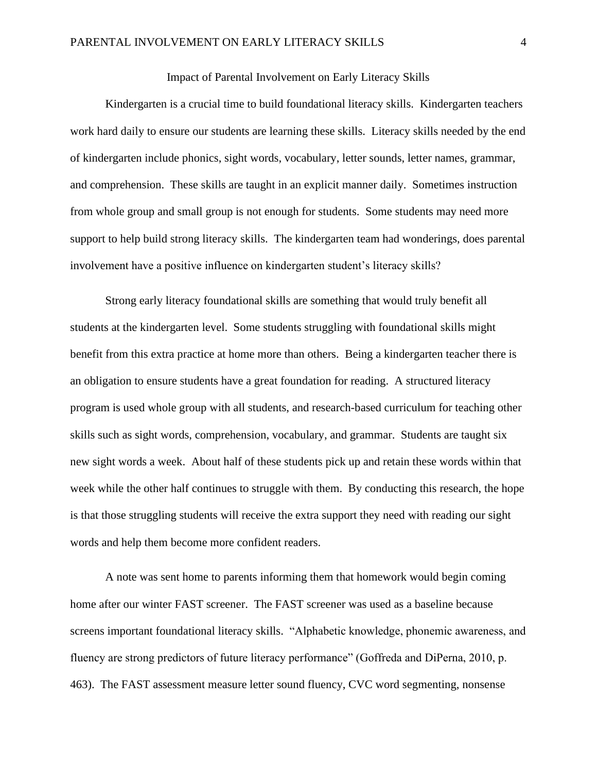# Impact of Parental Involvement on Early Literacy Skills

Kindergarten is a crucial time to build foundational literacy skills. Kindergarten teachers work hard daily to ensure our students are learning these skills. Literacy skills needed by the end of kindergarten include phonics, sight words, vocabulary, letter sounds, letter names, grammar, and comprehension. These skills are taught in an explicit manner daily. Sometimes instruction from whole group and small group is not enough for students. Some students may need more support to help build strong literacy skills. The kindergarten team had wonderings, does parental involvement have a positive influence on kindergarten student's literacy skills?

Strong early literacy foundational skills are something that would truly benefit all students at the kindergarten level. Some students struggling with foundational skills might benefit from this extra practice at home more than others. Being a kindergarten teacher there is an obligation to ensure students have a great foundation for reading. A structured literacy program is used whole group with all students, and research-based curriculum for teaching other skills such as sight words, comprehension, vocabulary, and grammar. Students are taught six new sight words a week. About half of these students pick up and retain these words within that week while the other half continues to struggle with them. By conducting this research, the hope is that those struggling students will receive the extra support they need with reading our sight words and help them become more confident readers.

A note was sent home to parents informing them that homework would begin coming home after our winter FAST screener. The FAST screener was used as a baseline because screens important foundational literacy skills. "Alphabetic knowledge, phonemic awareness, and fluency are strong predictors of future literacy performance" (Goffreda and DiPerna, 2010, p. 463). The FAST assessment measure letter sound fluency, CVC word segmenting, nonsense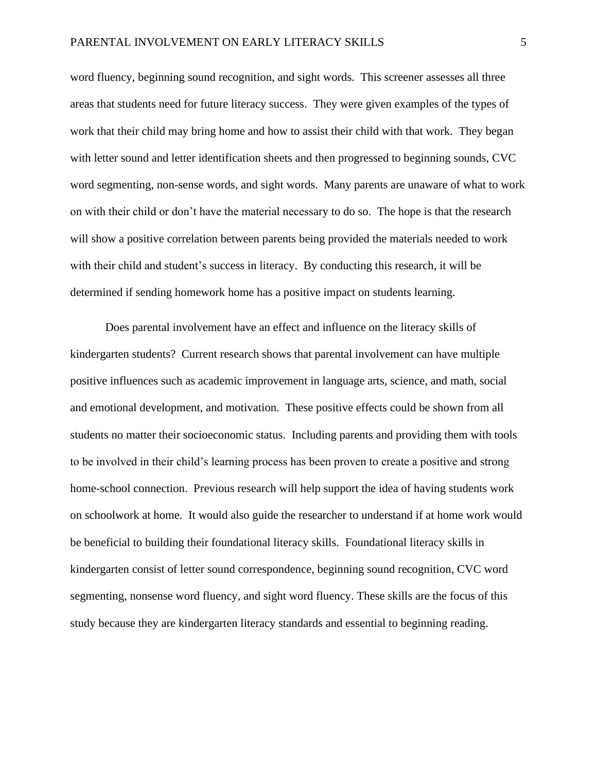word fluency, beginning sound recognition, and sight words. This screener assesses all three areas that students need for future literacy success. They were given examples of the types of work that their child may bring home and how to assist their child with that work. They began with letter sound and letter identification sheets and then progressed to beginning sounds, CVC word segmenting, non-sense words, and sight words. Many parents are unaware of what to work on with their child or don't have the material necessary to do so. The hope is that the research will show a positive correlation between parents being provided the materials needed to work with their child and student's success in literacy. By conducting this research, it will be determined if sending homework home has a positive impact on students learning.

Does parental involvement have an effect and influence on the literacy skills of kindergarten students? Current research shows that parental involvement can have multiple positive influences such as academic improvement in language arts, science, and math, social and emotional development, and motivation. These positive effects could be shown from all students no matter their socioeconomic status. Including parents and providing them with tools to be involved in their child's learning process has been proven to create a positive and strong home-school connection. Previous research will help support the idea of having students work on schoolwork at home. It would also guide the researcher to understand if at home work would be beneficial to building their foundational literacy skills. Foundational literacy skills in kindergarten consist of letter sound correspondence, beginning sound recognition, CVC word segmenting, nonsense word fluency, and sight word fluency. These skills are the focus of this study because they are kindergarten literacy standards and essential to beginning reading.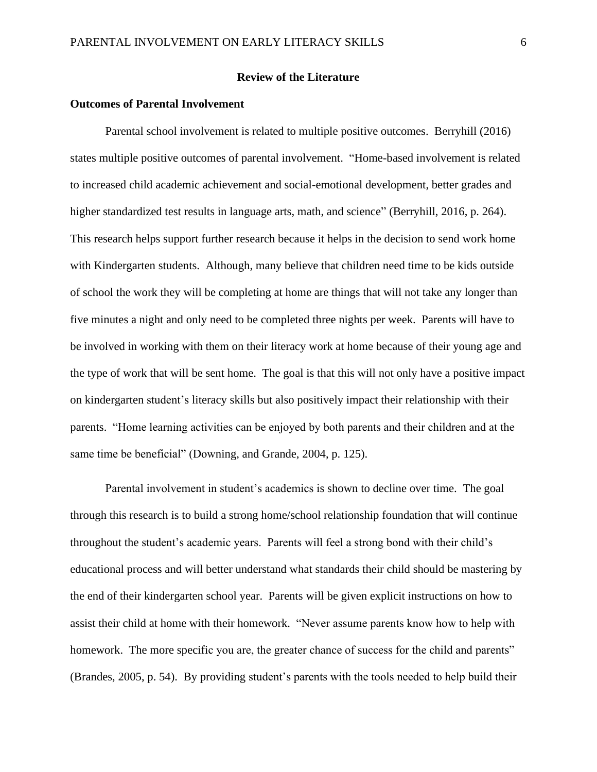## **Review of the Literature**

# <span id="page-6-0"></span>**Outcomes of Parental Involvement**

Parental school involvement is related to multiple positive outcomes. Berryhill (2016) states multiple positive outcomes of parental involvement. "Home-based involvement is related to increased child academic achievement and social-emotional development, better grades and higher standardized test results in language arts, math, and science" (Berryhill, 2016, p. 264). This research helps support further research because it helps in the decision to send work home with Kindergarten students. Although, many believe that children need time to be kids outside of school the work they will be completing at home are things that will not take any longer than five minutes a night and only need to be completed three nights per week. Parents will have to be involved in working with them on their literacy work at home because of their young age and the type of work that will be sent home. The goal is that this will not only have a positive impact on kindergarten student's literacy skills but also positively impact their relationship with their parents. "Home learning activities can be enjoyed by both parents and their children and at the same time be beneficial" (Downing, and Grande, 2004, p. 125).

Parental involvement in student's academics is shown to decline over time. The goal through this research is to build a strong home/school relationship foundation that will continue throughout the student's academic years. Parents will feel a strong bond with their child's educational process and will better understand what standards their child should be mastering by the end of their kindergarten school year. Parents will be given explicit instructions on how to assist their child at home with their homework. "Never assume parents know how to help with homework. The more specific you are, the greater chance of success for the child and parents" (Brandes, 2005, p. 54). By providing student's parents with the tools needed to help build their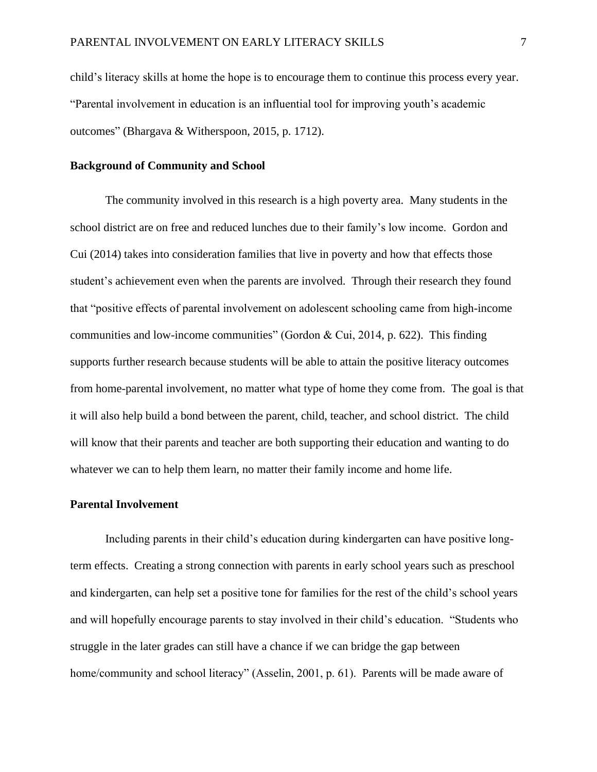child's literacy skills at home the hope is to encourage them to continue this process every year. "Parental involvement in education is an influential tool for improving youth's academic outcomes" (Bhargava & Witherspoon, 2015, p. 1712).

#### **Background of Community and School**

The community involved in this research is a high poverty area. Many students in the school district are on free and reduced lunches due to their family's low income. Gordon and Cui (2014) takes into consideration families that live in poverty and how that effects those student's achievement even when the parents are involved. Through their research they found that "positive effects of parental involvement on adolescent schooling came from high-income communities and low-income communities" (Gordon & Cui, 2014, p. 622). This finding supports further research because students will be able to attain the positive literacy outcomes from home-parental involvement, no matter what type of home they come from. The goal is that it will also help build a bond between the parent, child, teacher, and school district. The child will know that their parents and teacher are both supporting their education and wanting to do whatever we can to help them learn, no matter their family income and home life.

## **Parental Involvement**

Including parents in their child's education during kindergarten can have positive longterm effects. Creating a strong connection with parents in early school years such as preschool and kindergarten, can help set a positive tone for families for the rest of the child's school years and will hopefully encourage parents to stay involved in their child's education. "Students who struggle in the later grades can still have a chance if we can bridge the gap between home/community and school literacy" (Asselin, 2001, p. 61). Parents will be made aware of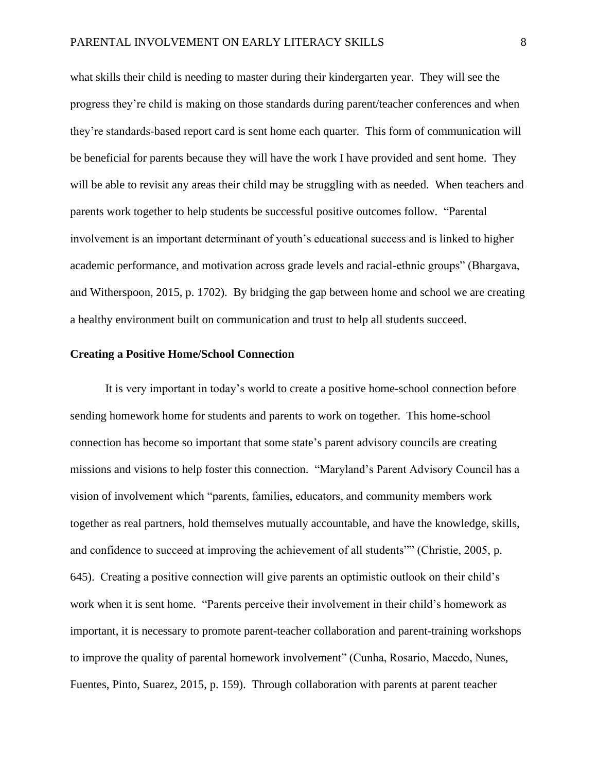what skills their child is needing to master during their kindergarten year. They will see the progress they're child is making on those standards during parent/teacher conferences and when they're standards-based report card is sent home each quarter. This form of communication will be beneficial for parents because they will have the work I have provided and sent home. They will be able to revisit any areas their child may be struggling with as needed. When teachers and parents work together to help students be successful positive outcomes follow. "Parental involvement is an important determinant of youth's educational success and is linked to higher academic performance, and motivation across grade levels and racial-ethnic groups" (Bhargava, and Witherspoon, 2015, p. 1702). By bridging the gap between home and school we are creating a healthy environment built on communication and trust to help all students succeed.

# **Creating a Positive Home/School Connection**

It is very important in today's world to create a positive home-school connection before sending homework home for students and parents to work on together. This home-school connection has become so important that some state's parent advisory councils are creating missions and visions to help foster this connection. "Maryland's Parent Advisory Council has a vision of involvement which "parents, families, educators, and community members work together as real partners, hold themselves mutually accountable, and have the knowledge, skills, and confidence to succeed at improving the achievement of all students"" (Christie, 2005, p. 645). Creating a positive connection will give parents an optimistic outlook on their child's work when it is sent home. "Parents perceive their involvement in their child's homework as important, it is necessary to promote parent-teacher collaboration and parent-training workshops to improve the quality of parental homework involvement" (Cunha, Rosario, Macedo, Nunes, Fuentes, Pinto, Suarez, 2015, p. 159). Through collaboration with parents at parent teacher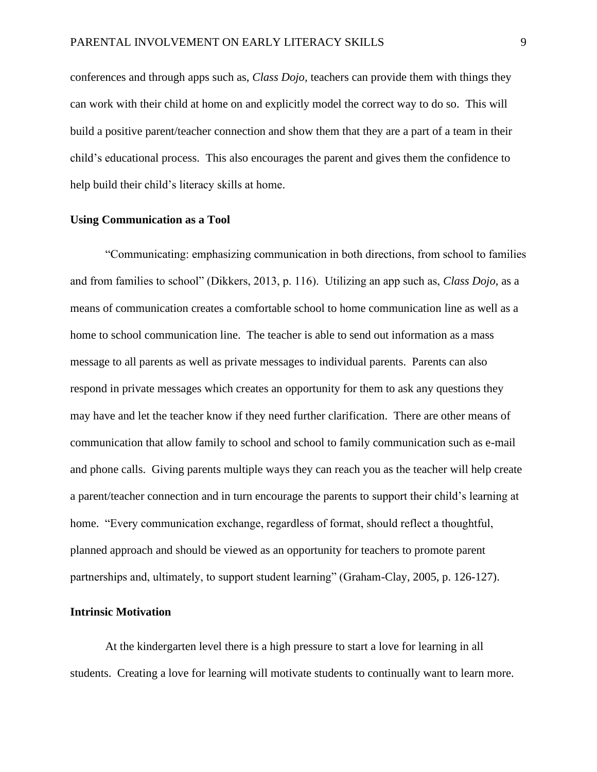conferences and through apps such as, *Class Dojo,* teachers can provide them with things they can work with their child at home on and explicitly model the correct way to do so. This will build a positive parent/teacher connection and show them that they are a part of a team in their child's educational process. This also encourages the parent and gives them the confidence to help build their child's literacy skills at home.

# **Using Communication as a Tool**

"Communicating: emphasizing communication in both directions, from school to families and from families to school" (Dikkers, 2013, p. 116). Utilizing an app such as, *Class Dojo*, as a means of communication creates a comfortable school to home communication line as well as a home to school communication line. The teacher is able to send out information as a mass message to all parents as well as private messages to individual parents. Parents can also respond in private messages which creates an opportunity for them to ask any questions they may have and let the teacher know if they need further clarification. There are other means of communication that allow family to school and school to family communication such as e-mail and phone calls. Giving parents multiple ways they can reach you as the teacher will help create a parent/teacher connection and in turn encourage the parents to support their child's learning at home. "Every communication exchange, regardless of format, should reflect a thoughtful, planned approach and should be viewed as an opportunity for teachers to promote parent partnerships and, ultimately, to support student learning" (Graham-Clay, 2005, p. 126-127).

# **Intrinsic Motivation**

At the kindergarten level there is a high pressure to start a love for learning in all students. Creating a love for learning will motivate students to continually want to learn more.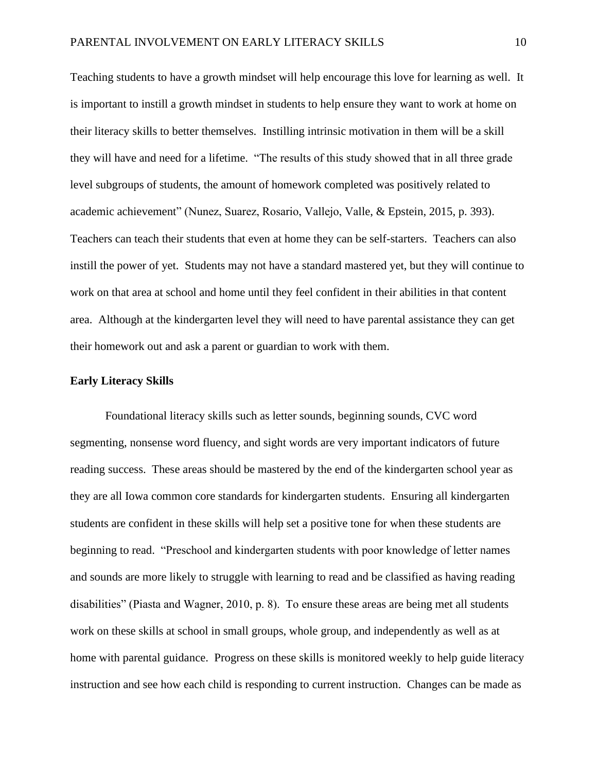Teaching students to have a growth mindset will help encourage this love for learning as well. It is important to instill a growth mindset in students to help ensure they want to work at home on their literacy skills to better themselves. Instilling intrinsic motivation in them will be a skill they will have and need for a lifetime. "The results of this study showed that in all three grade level subgroups of students, the amount of homework completed was positively related to academic achievement" (Nunez, Suarez, Rosario, Vallejo, Valle, & Epstein, 2015, p. 393). Teachers can teach their students that even at home they can be self-starters. Teachers can also instill the power of yet. Students may not have a standard mastered yet, but they will continue to work on that area at school and home until they feel confident in their abilities in that content area. Although at the kindergarten level they will need to have parental assistance they can get their homework out and ask a parent or guardian to work with them.

### **Early Literacy Skills**

Foundational literacy skills such as letter sounds, beginning sounds, CVC word segmenting, nonsense word fluency, and sight words are very important indicators of future reading success. These areas should be mastered by the end of the kindergarten school year as they are all Iowa common core standards for kindergarten students. Ensuring all kindergarten students are confident in these skills will help set a positive tone for when these students are beginning to read. "Preschool and kindergarten students with poor knowledge of letter names and sounds are more likely to struggle with learning to read and be classified as having reading disabilities" (Piasta and Wagner, 2010, p. 8). To ensure these areas are being met all students work on these skills at school in small groups, whole group, and independently as well as at home with parental guidance. Progress on these skills is monitored weekly to help guide literacy instruction and see how each child is responding to current instruction. Changes can be made as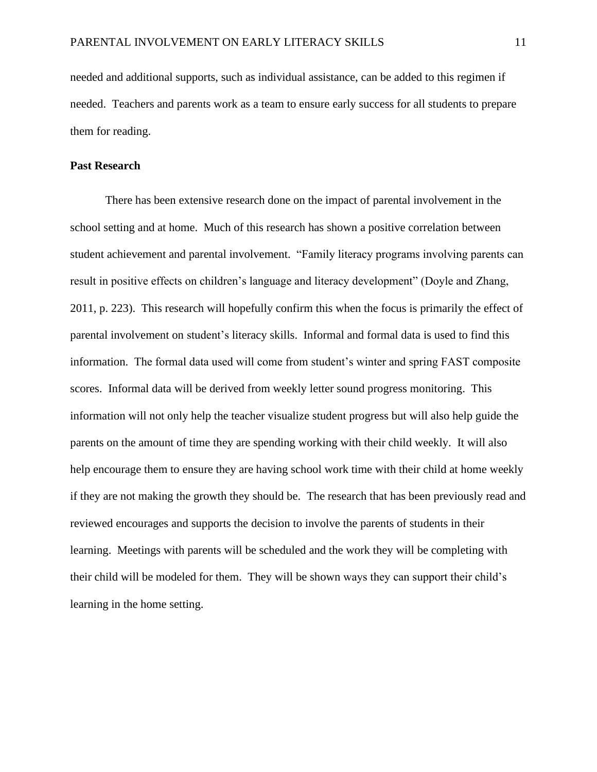needed and additional supports, such as individual assistance, can be added to this regimen if needed. Teachers and parents work as a team to ensure early success for all students to prepare them for reading.

## **Past Research**

There has been extensive research done on the impact of parental involvement in the school setting and at home. Much of this research has shown a positive correlation between student achievement and parental involvement. "Family literacy programs involving parents can result in positive effects on children's language and literacy development" (Doyle and Zhang, 2011, p. 223). This research will hopefully confirm this when the focus is primarily the effect of parental involvement on student's literacy skills. Informal and formal data is used to find this information. The formal data used will come from student's winter and spring FAST composite scores. Informal data will be derived from weekly letter sound progress monitoring. This information will not only help the teacher visualize student progress but will also help guide the parents on the amount of time they are spending working with their child weekly. It will also help encourage them to ensure they are having school work time with their child at home weekly if they are not making the growth they should be. The research that has been previously read and reviewed encourages and supports the decision to involve the parents of students in their learning. Meetings with parents will be scheduled and the work they will be completing with their child will be modeled for them. They will be shown ways they can support their child's learning in the home setting.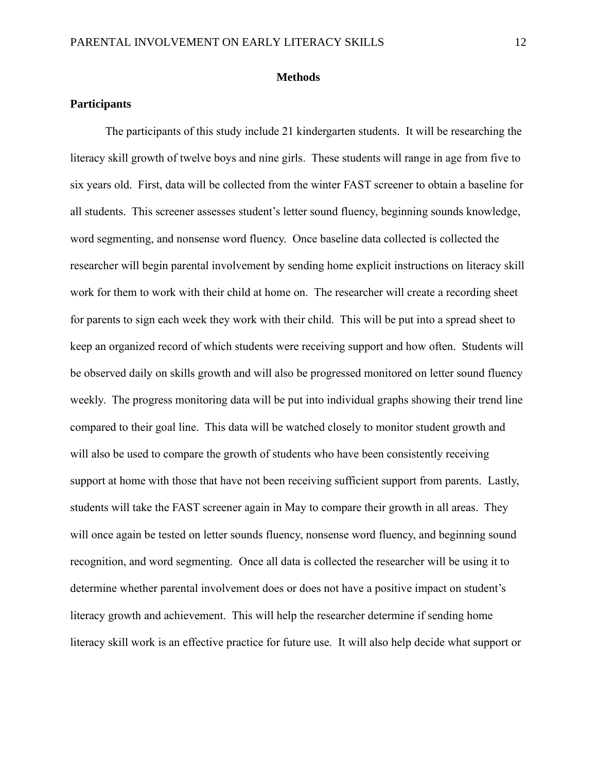### **Methods**

# **Participants**

The participants of this study include 21 kindergarten students. It will be researching the literacy skill growth of twelve boys and nine girls. These students will range in age from five to six years old. First, data will be collected from the winter FAST screener to obtain a baseline for all students. This screener assesses student's letter sound fluency, beginning sounds knowledge, word segmenting, and nonsense word fluency. Once baseline data collected is collected the researcher will begin parental involvement by sending home explicit instructions on literacy skill work for them to work with their child at home on. The researcher will create a recording sheet for parents to sign each week they work with their child. This will be put into a spread sheet to keep an organized record of which students were receiving support and how often. Students will be observed daily on skills growth and will also be progressed monitored on letter sound fluency weekly. The progress monitoring data will be put into individual graphs showing their trend line compared to their goal line. This data will be watched closely to monitor student growth and will also be used to compare the growth of students who have been consistently receiving support at home with those that have not been receiving sufficient support from parents. Lastly, students will take the FAST screener again in May to compare their growth in all areas. They will once again be tested on letter sounds fluency, nonsense word fluency, and beginning sound recognition, and word segmenting. Once all data is collected the researcher will be using it to determine whether parental involvement does or does not have a positive impact on student's literacy growth and achievement. This will help the researcher determine if sending home literacy skill work is an effective practice for future use. It will also help decide what support or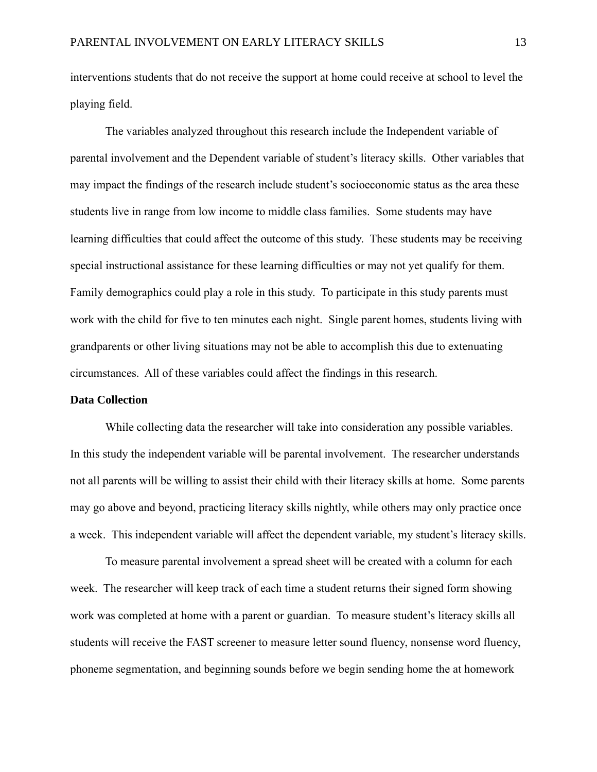interventions students that do not receive the support at home could receive at school to level the playing field.

The variables analyzed throughout this research include the Independent variable of parental involvement and the Dependent variable of student's literacy skills. Other variables that may impact the findings of the research include student's socioeconomic status as the area these students live in range from low income to middle class families. Some students may have learning difficulties that could affect the outcome of this study. These students may be receiving special instructional assistance for these learning difficulties or may not yet qualify for them. Family demographics could play a role in this study. To participate in this study parents must work with the child for five to ten minutes each night. Single parent homes, students living with grandparents or other living situations may not be able to accomplish this due to extenuating circumstances. All of these variables could affect the findings in this research.

#### **Data Collection**

While collecting data the researcher will take into consideration any possible variables. In this study the independent variable will be parental involvement. The researcher understands not all parents will be willing to assist their child with their literacy skills at home. Some parents may go above and beyond, practicing literacy skills nightly, while others may only practice once a week. This independent variable will affect the dependent variable, my student's literacy skills.

To measure parental involvement a spread sheet will be created with a column for each week. The researcher will keep track of each time a student returns their signed form showing work was completed at home with a parent or guardian. To measure student's literacy skills all students will receive the FAST screener to measure letter sound fluency, nonsense word fluency, phoneme segmentation, and beginning sounds before we begin sending home the at homework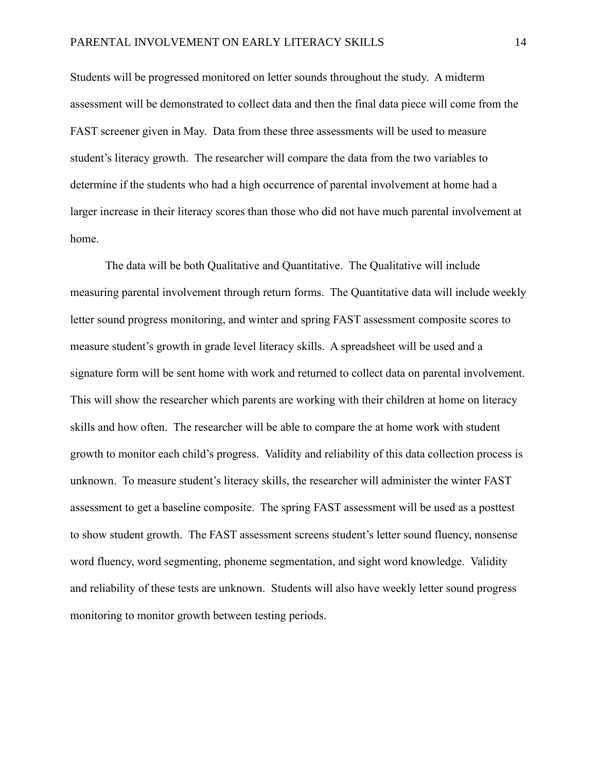Students will be progressed monitored on letter sounds throughout the study. A midterm assessment will be demonstrated to collect data and then the final data piece will come from the FAST screener given in May. Data from these three assessments will be used to measure student's literacy growth. The researcher will compare the data from the two variables to determine if the students who had a high occurrence of parental involvement at home had a larger increase in their literacy scores than those who did not have much parental involvement at home.

The data will be both Qualitative and Quantitative. The Qualitative will include measuring parental involvement through return forms. The Quantitative data will include weekly letter sound progress monitoring, and winter and spring FAST assessment composite scores to measure student's growth in grade level literacy skills. A spreadsheet will be used and a signature form will be sent home with work and returned to collect data on parental involvement. This will show the researcher which parents are working with their children at home on literacy skills and how often. The researcher will be able to compare the at home work with student growth to monitor each child's progress. Validity and reliability of this data collection process is unknown. To measure student's literacy skills, the researcher will administer the winter FAST assessment to get a baseline composite. The spring FAST assessment will be used as a posttest to show student growth. The FAST assessment screens student's letter sound fluency, nonsense word fluency, word segmenting, phoneme segmentation, and sight word knowledge. Validity and reliability of these tests are unknown. Students will also have weekly letter sound progress monitoring to monitor growth between testing periods.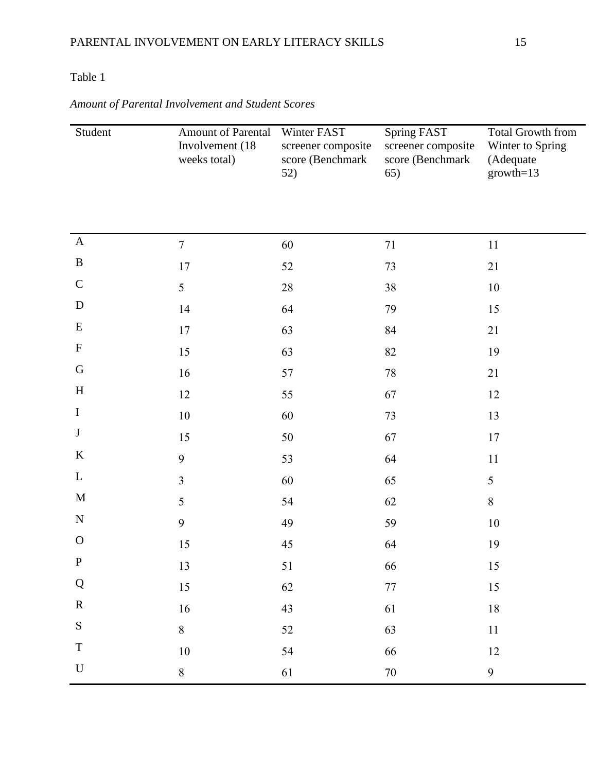# Table 1

| Student                   | Amount of Parental<br>Involvement (18)<br>weeks total) | Winter FAST<br>screener composite<br>score (Benchmark<br>52) | Spring FAST<br>screener composite<br>score (Benchmark<br>65) | <b>Total Growth from</b><br>Winter to Spring<br>(Adequate<br>$growth=13$ |
|---------------------------|--------------------------------------------------------|--------------------------------------------------------------|--------------------------------------------------------------|--------------------------------------------------------------------------|
|                           |                                                        |                                                              |                                                              |                                                                          |
| $\mathbf{A}$              | $\tau$                                                 | 60                                                           | 71                                                           | 11                                                                       |
| $\, {\bf B}$              | 17                                                     | 52                                                           | 73                                                           | 21                                                                       |
| $\mathbf C$               | 5                                                      | $28\,$                                                       | 38                                                           | 10                                                                       |
| D                         | 14                                                     | 64                                                           | 79                                                           | 15                                                                       |
| E                         | 17                                                     | 63                                                           | 84                                                           | 21                                                                       |
| $\boldsymbol{\mathrm{F}}$ | 15                                                     | 63                                                           | 82                                                           | 19                                                                       |
| G                         | 16                                                     | 57                                                           | 78                                                           | 21                                                                       |
| H                         | 12                                                     | 55                                                           | 67                                                           | 12                                                                       |
| $\mathbf I$               | $10\,$                                                 | 60                                                           | 73                                                           | 13                                                                       |
| $\bf J$                   | 15                                                     | $50\,$                                                       | 67                                                           | 17                                                                       |
| $\bf K$                   | 9                                                      | 53                                                           | 64                                                           | 11                                                                       |
| $\mathbf{L}$              | $\overline{3}$                                         | 60                                                           | 65                                                           | $\mathfrak{S}$                                                           |
| M                         | 5                                                      | 54                                                           | 62                                                           | $8\,$                                                                    |
| ${\bf N}$                 | 9                                                      | 49                                                           | 59                                                           | $10\,$                                                                   |
| $\mathbf{O}$              | 15                                                     | 45                                                           | 64                                                           | 19                                                                       |
| $\mathbf{P}$              | 13                                                     | 51                                                           | 66                                                           | 15                                                                       |
| Q                         | 15                                                     | 62                                                           | 77                                                           | 15                                                                       |
| $\mathbf R$               | 16                                                     | 43                                                           | 61                                                           | $18\,$                                                                   |
| ${\bf S}$                 | $8\,$                                                  | 52                                                           | 63                                                           | $11\,$                                                                   |
| $\mathbf T$               | $10\,$                                                 | 54                                                           | 66                                                           | 12                                                                       |
| ${\bf U}$                 | $\boldsymbol{8}$                                       | 61                                                           | $70\,$                                                       | 9                                                                        |

# *Amount of Parental Involvement and Student Scores*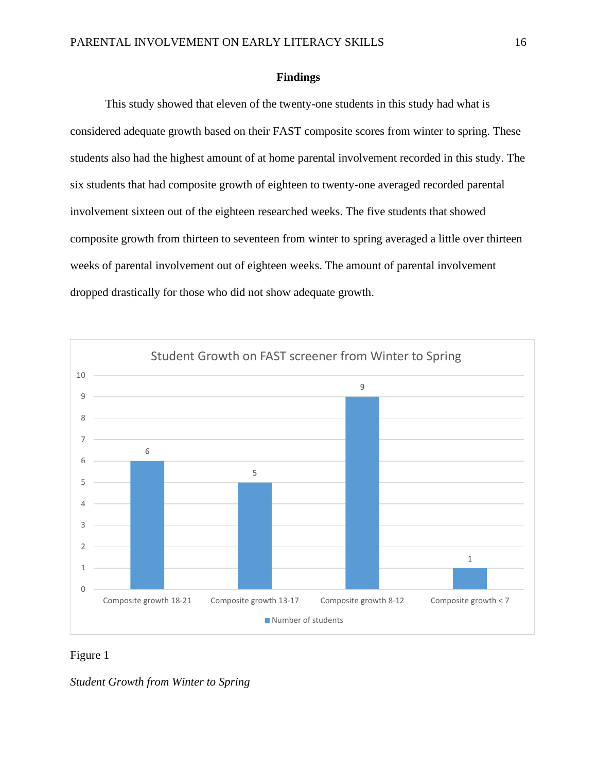### **Findings**

This study showed that eleven of the twenty-one students in this study had what is considered adequate growth based on their FAST composite scores from winter to spring. These students also had the highest amount of at home parental involvement recorded in this study. The six students that had composite growth of eighteen to twenty-one averaged recorded parental involvement sixteen out of the eighteen researched weeks. The five students that showed composite growth from thirteen to seventeen from winter to spring averaged a little over thirteen weeks of parental involvement out of eighteen weeks. The amount of parental involvement dropped drastically for those who did not show adequate growth.



# Figure 1

*Student Growth from Winter to Spring*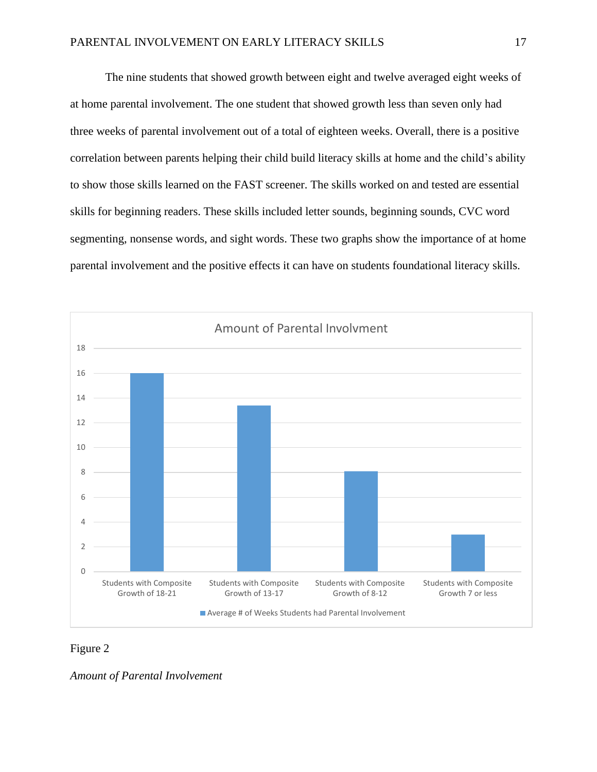The nine students that showed growth between eight and twelve averaged eight weeks of at home parental involvement. The one student that showed growth less than seven only had three weeks of parental involvement out of a total of eighteen weeks. Overall, there is a positive correlation between parents helping their child build literacy skills at home and the child's ability to show those skills learned on the FAST screener. The skills worked on and tested are essential skills for beginning readers. These skills included letter sounds, beginning sounds, CVC word segmenting, nonsense words, and sight words. These two graphs show the importance of at home parental involvement and the positive effects it can have on students foundational literacy skills.



# Figure 2

*Amount of Parental Involvement*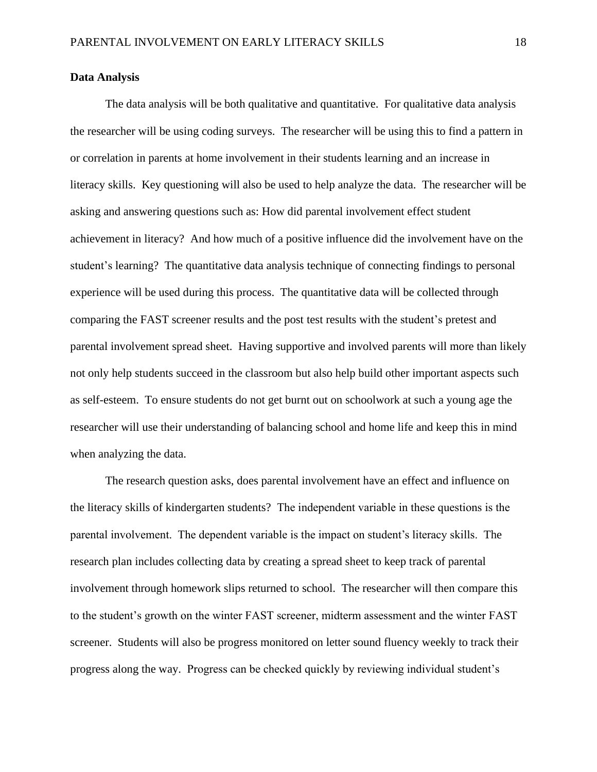### **Data Analysis**

The data analysis will be both qualitative and quantitative. For qualitative data analysis the researcher will be using coding surveys. The researcher will be using this to find a pattern in or correlation in parents at home involvement in their students learning and an increase in literacy skills. Key questioning will also be used to help analyze the data. The researcher will be asking and answering questions such as: How did parental involvement effect student achievement in literacy? And how much of a positive influence did the involvement have on the student's learning? The quantitative data analysis technique of connecting findings to personal experience will be used during this process. The quantitative data will be collected through comparing the FAST screener results and the post test results with the student's pretest and parental involvement spread sheet. Having supportive and involved parents will more than likely not only help students succeed in the classroom but also help build other important aspects such as self-esteem. To ensure students do not get burnt out on schoolwork at such a young age the researcher will use their understanding of balancing school and home life and keep this in mind when analyzing the data.

The research question asks, does parental involvement have an effect and influence on the literacy skills of kindergarten students? The independent variable in these questions is the parental involvement. The dependent variable is the impact on student's literacy skills. The research plan includes collecting data by creating a spread sheet to keep track of parental involvement through homework slips returned to school. The researcher will then compare this to the student's growth on the winter FAST screener, midterm assessment and the winter FAST screener. Students will also be progress monitored on letter sound fluency weekly to track their progress along the way. Progress can be checked quickly by reviewing individual student's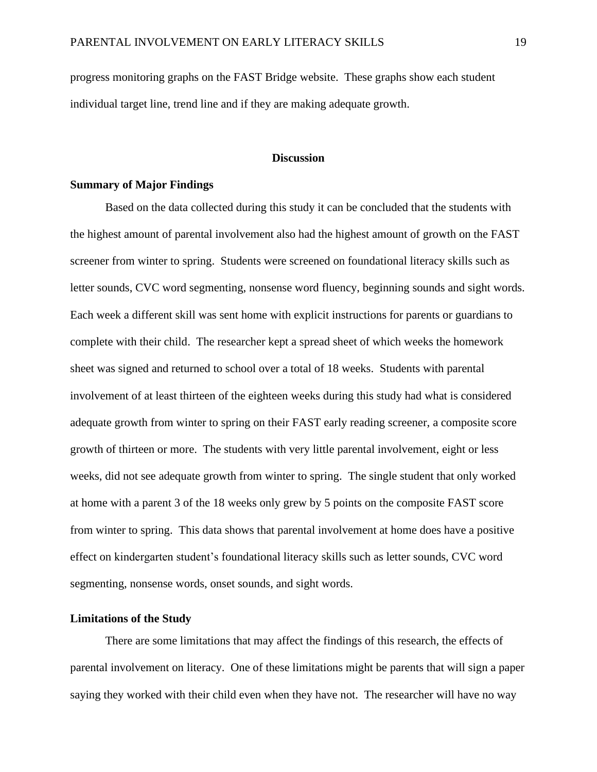progress monitoring graphs on the FAST Bridge website. These graphs show each student individual target line, trend line and if they are making adequate growth.

## **Discussion**

# <span id="page-19-0"></span>**Summary of Major Findings**

Based on the data collected during this study it can be concluded that the students with the highest amount of parental involvement also had the highest amount of growth on the FAST screener from winter to spring. Students were screened on foundational literacy skills such as letter sounds, CVC word segmenting, nonsense word fluency, beginning sounds and sight words. Each week a different skill was sent home with explicit instructions for parents or guardians to complete with their child. The researcher kept a spread sheet of which weeks the homework sheet was signed and returned to school over a total of 18 weeks. Students with parental involvement of at least thirteen of the eighteen weeks during this study had what is considered adequate growth from winter to spring on their FAST early reading screener, a composite score growth of thirteen or more. The students with very little parental involvement, eight or less weeks, did not see adequate growth from winter to spring. The single student that only worked at home with a parent 3 of the 18 weeks only grew by 5 points on the composite FAST score from winter to spring. This data shows that parental involvement at home does have a positive effect on kindergarten student's foundational literacy skills such as letter sounds, CVC word segmenting, nonsense words, onset sounds, and sight words.

# **Limitations of the Study**

There are some limitations that may affect the findings of this research, the effects of parental involvement on literacy. One of these limitations might be parents that will sign a paper saying they worked with their child even when they have not. The researcher will have no way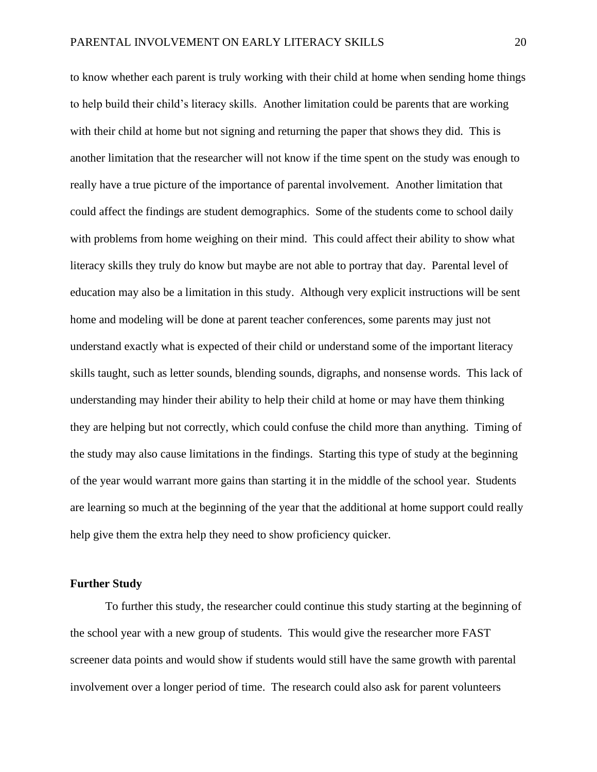to know whether each parent is truly working with their child at home when sending home things to help build their child's literacy skills. Another limitation could be parents that are working with their child at home but not signing and returning the paper that shows they did. This is another limitation that the researcher will not know if the time spent on the study was enough to really have a true picture of the importance of parental involvement. Another limitation that could affect the findings are student demographics. Some of the students come to school daily with problems from home weighing on their mind. This could affect their ability to show what literacy skills they truly do know but maybe are not able to portray that day. Parental level of education may also be a limitation in this study. Although very explicit instructions will be sent home and modeling will be done at parent teacher conferences, some parents may just not understand exactly what is expected of their child or understand some of the important literacy skills taught, such as letter sounds, blending sounds, digraphs, and nonsense words. This lack of understanding may hinder their ability to help their child at home or may have them thinking they are helping but not correctly, which could confuse the child more than anything. Timing of the study may also cause limitations in the findings. Starting this type of study at the beginning of the year would warrant more gains than starting it in the middle of the school year. Students are learning so much at the beginning of the year that the additional at home support could really help give them the extra help they need to show proficiency quicker.

#### **Further Study**

To further this study, the researcher could continue this study starting at the beginning of the school year with a new group of students. This would give the researcher more FAST screener data points and would show if students would still have the same growth with parental involvement over a longer period of time. The research could also ask for parent volunteers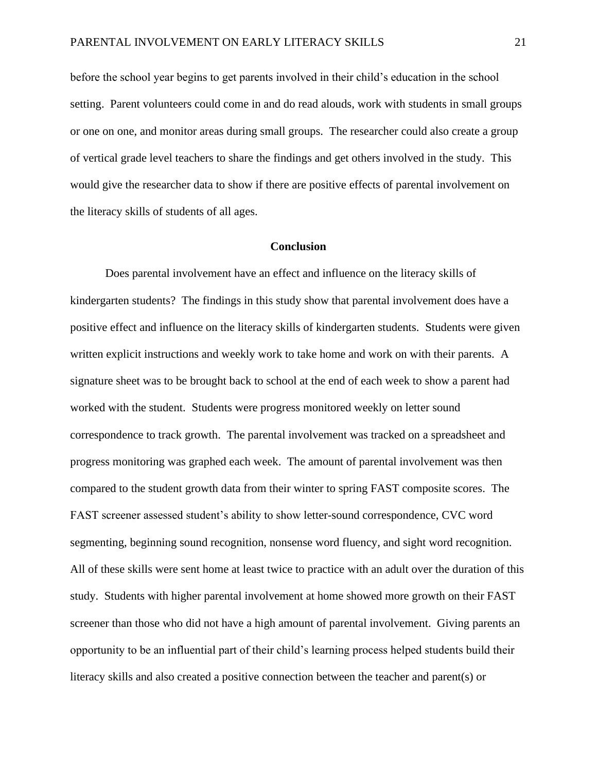before the school year begins to get parents involved in their child's education in the school setting. Parent volunteers could come in and do read alouds, work with students in small groups or one on one, and monitor areas during small groups. The researcher could also create a group of vertical grade level teachers to share the findings and get others involved in the study. This would give the researcher data to show if there are positive effects of parental involvement on the literacy skills of students of all ages.

#### **Conclusion**

Does parental involvement have an effect and influence on the literacy skills of kindergarten students? The findings in this study show that parental involvement does have a positive effect and influence on the literacy skills of kindergarten students. Students were given written explicit instructions and weekly work to take home and work on with their parents. A signature sheet was to be brought back to school at the end of each week to show a parent had worked with the student. Students were progress monitored weekly on letter sound correspondence to track growth. The parental involvement was tracked on a spreadsheet and progress monitoring was graphed each week. The amount of parental involvement was then compared to the student growth data from their winter to spring FAST composite scores. The FAST screener assessed student's ability to show letter-sound correspondence, CVC word segmenting, beginning sound recognition, nonsense word fluency, and sight word recognition. All of these skills were sent home at least twice to practice with an adult over the duration of this study. Students with higher parental involvement at home showed more growth on their FAST screener than those who did not have a high amount of parental involvement. Giving parents an opportunity to be an influential part of their child's learning process helped students build their literacy skills and also created a positive connection between the teacher and parent(s) or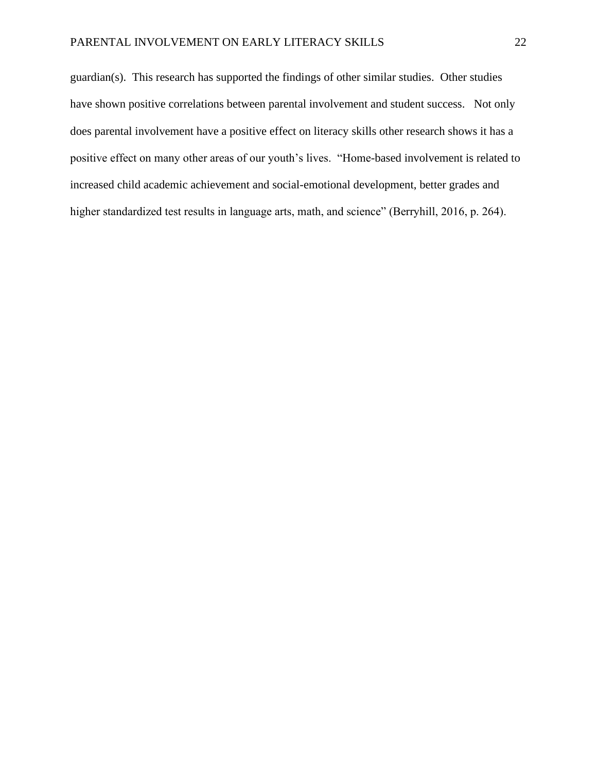guardian(s). This research has supported the findings of other similar studies. Other studies have shown positive correlations between parental involvement and student success. Not only does parental involvement have a positive effect on literacy skills other research shows it has a positive effect on many other areas of our youth's lives. "Home-based involvement is related to increased child academic achievement and social-emotional development, better grades and higher standardized test results in language arts, math, and science" (Berryhill, 2016, p. 264).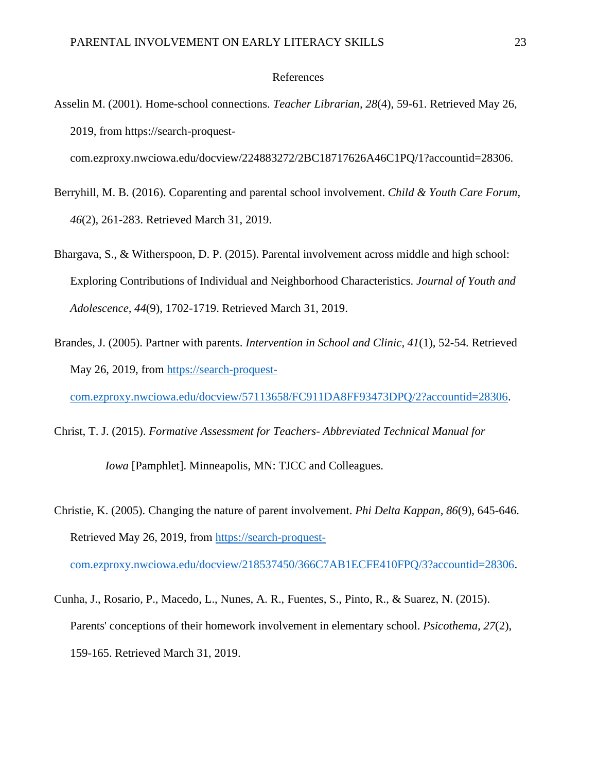#### References

- <span id="page-23-0"></span>Asselin M. (2001). Home-school connections. *Teacher Librarian, 28*(4), 59-61. Retrieved May 26, 2019, from https://search-proquestcom.ezproxy.nwciowa.edu/docview/224883272/2BC18717626A46C1PQ/1?accountid=28306.
- 
- Berryhill, M. B. (2016). Coparenting and parental school involvement. *Child & Youth Care Forum, 46*(2), 261-283. Retrieved March 31, 2019.
- Bhargava, S., & Witherspoon, D. P. (2015). Parental involvement across middle and high school: Exploring Contributions of Individual and Neighborhood Characteristics. *Journal of Youth and Adolescence, 44*(9), 1702-1719. Retrieved March 31, 2019.
- Brandes, J. (2005). Partner with parents. *Intervention in School and Clinic, 41*(1), 52-54. Retrieved May 26, 2019, from [https://search-proquest](https://search-proquest-com.ezproxy.nwciowa.edu/docview/57113658/FC911DA8FF93473DPQ/2?accountid=28306)[com.ezproxy.nwciowa.edu/docview/57113658/FC911DA8FF93473DPQ/2?accountid=28306.](https://search-proquest-com.ezproxy.nwciowa.edu/docview/57113658/FC911DA8FF93473DPQ/2?accountid=28306)
- Christ, T. J. (2015). *Formative Assessment for Teachers- Abbreviated Technical Manual for*

*Iowa* [Pamphlet]. Minneapolis, MN: TJCC and Colleagues.

Christie, K. (2005). Changing the nature of parent involvement. *Phi Delta Kappan, 86*(9), 645-646. Retrieved May 26, 2019, from [https://search-proquest-](https://search-proquest-com.ezproxy.nwciowa.edu/docview/218537450/366C7AB1ECFE410FPQ/3?accountid=28306)

[com.ezproxy.nwciowa.edu/docview/218537450/366C7AB1ECFE410FPQ/3?accountid=28306.](https://search-proquest-com.ezproxy.nwciowa.edu/docview/218537450/366C7AB1ECFE410FPQ/3?accountid=28306)

Cunha, J., Rosario, P., Macedo, L., Nunes, A. R., Fuentes, S., Pinto, R., & Suarez, N. (2015). Parents' conceptions of their homework involvement in elementary school. *Psicothema, 27*(2), 159-165. Retrieved March 31, 2019.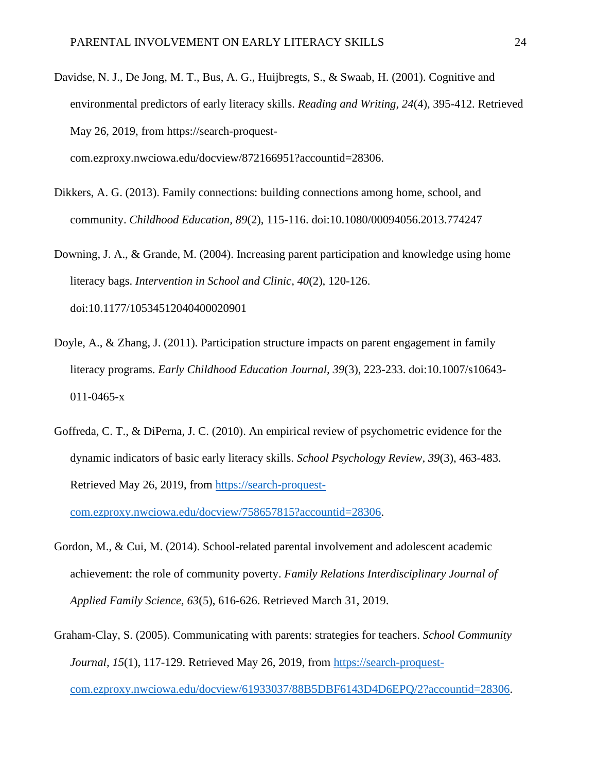- Davidse, N. J., De Jong, M. T., Bus, A. G., Huijbregts, S., & Swaab, H. (2001). Cognitive and environmental predictors of early literacy skills. *Reading and Writing, 24*(4), 395-412. Retrieved May 26, 2019, from https://search-proquestcom.ezproxy.nwciowa.edu/docview/872166951?accountid=28306.
- Dikkers, A. G. (2013). Family connections: building connections among home, school, and community. *Childhood Education, 89*(2), 115-116. doi:10.1080/00094056.2013.774247
- Downing, J. A., & Grande, M. (2004). Increasing parent participation and knowledge using home literacy bags. *Intervention in School and Clinic, 40*(2), 120-126. doi:10.1177/10534512040400020901
- Doyle, A., & Zhang, J. (2011). Participation structure impacts on parent engagement in family literacy programs. *Early Childhood Education Journal, 39*(3), 223-233. doi:10.1007/s10643- 011-0465-x
- Goffreda, C. T., & DiPerna, J. C. (2010). An empirical review of psychometric evidence for the dynamic indicators of basic early literacy skills. *School Psychology Review, 39*(3), 463-483. Retrieved May 26, 2019, from [https://search-proquest-](https://search-proquest-com.ezproxy.nwciowa.edu/docview/758657815?accountid=28306)

[com.ezproxy.nwciowa.edu/docview/758657815?accountid=28306.](https://search-proquest-com.ezproxy.nwciowa.edu/docview/758657815?accountid=28306)

- Gordon, M., & Cui, M. (2014). School-related parental involvement and adolescent academic achievement: the role of community poverty. *Family Relations Interdisciplinary Journal of Applied Family Science, 63*(5), 616-626. Retrieved March 31, 2019.
- Graham-Clay, S. (2005). Communicating with parents: strategies for teachers. *School Community Journal, 15*(1), 117-129. Retrieved May 26, 2019, from [https://search-proquest-](https://search-proquest-com.ezproxy.nwciowa.edu/docview/61933037/88B5DBF6143D4D6EPQ/2?accountid=28306)

[com.ezproxy.nwciowa.edu/docview/61933037/88B5DBF6143D4D6EPQ/2?accountid=28306.](https://search-proquest-com.ezproxy.nwciowa.edu/docview/61933037/88B5DBF6143D4D6EPQ/2?accountid=28306)